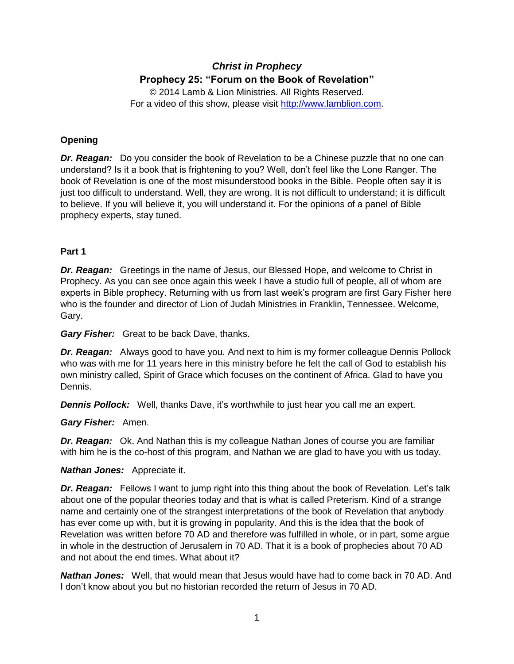# *Christ in Prophecy* **Prophecy 25: "Forum on the Book of Revelation"**

© 2014 Lamb & Lion Ministries. All Rights Reserved. For a video of this show, please visit [http://www.lamblion.com.](http://www.lamblion.com/)

# **Opening**

*Dr. Reagan:* Do you consider the book of Revelation to be a Chinese puzzle that no one can understand? Is it a book that is frightening to you? Well, don't feel like the Lone Ranger. The book of Revelation is one of the most misunderstood books in the Bible. People often say it is just too difficult to understand. Well, they are wrong. It is not difficult to understand; it is difficult to believe. If you will believe it, you will understand it. For the opinions of a panel of Bible prophecy experts, stay tuned.

# **Part 1**

*Dr. Reagan:* Greetings in the name of Jesus, our Blessed Hope, and welcome to Christ in Prophecy. As you can see once again this week I have a studio full of people, all of whom are experts in Bible prophecy. Returning with us from last week's program are first Gary Fisher here who is the founder and director of Lion of Judah Ministries in Franklin, Tennessee. Welcome, Gary.

*Gary Fisher:* Great to be back Dave, thanks.

*Dr. Reagan:* Always good to have you. And next to him is my former colleague Dennis Pollock who was with me for 11 years here in this ministry before he felt the call of God to establish his own ministry called, Spirit of Grace which focuses on the continent of Africa. Glad to have you Dennis.

**Dennis Pollock:** Well, thanks Dave, it's worthwhile to just hear you call me an expert.

*Gary Fisher:* Amen.

*Dr. Reagan:* Ok. And Nathan this is my colleague Nathan Jones of course you are familiar with him he is the co-host of this program, and Nathan we are glad to have you with us today.

# *Nathan Jones:* Appreciate it.

*Dr. Reagan:* Fellows I want to jump right into this thing about the book of Revelation. Let's talk about one of the popular theories today and that is what is called Preterism. Kind of a strange name and certainly one of the strangest interpretations of the book of Revelation that anybody has ever come up with, but it is growing in popularity. And this is the idea that the book of Revelation was written before 70 AD and therefore was fulfilled in whole, or in part, some argue in whole in the destruction of Jerusalem in 70 AD. That it is a book of prophecies about 70 AD and not about the end times. What about it?

*Nathan Jones:* Well, that would mean that Jesus would have had to come back in 70 AD. And I don't know about you but no historian recorded the return of Jesus in 70 AD.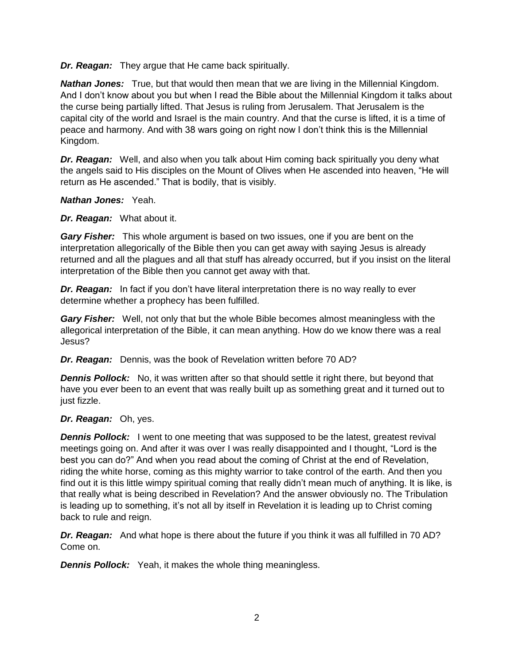*Dr. Reagan:* They argue that He came back spiritually.

*Nathan Jones:* True, but that would then mean that we are living in the Millennial Kingdom. And I don't know about you but when I read the Bible about the Millennial Kingdom it talks about the curse being partially lifted. That Jesus is ruling from Jerusalem. That Jerusalem is the capital city of the world and Israel is the main country. And that the curse is lifted, it is a time of peace and harmony. And with 38 wars going on right now I don't think this is the Millennial Kingdom.

*Dr. Reagan:* Well, and also when you talk about Him coming back spiritually you deny what the angels said to His disciples on the Mount of Olives when He ascended into heaven, "He will return as He ascended." That is bodily, that is visibly.

*Nathan Jones:* Yeah.

*Dr. Reagan:* What about it.

*Gary Fisher:* This whole argument is based on two issues, one if you are bent on the interpretation allegorically of the Bible then you can get away with saying Jesus is already returned and all the plagues and all that stuff has already occurred, but if you insist on the literal interpretation of the Bible then you cannot get away with that.

*Dr. Reagan:* In fact if you don't have literal interpretation there is no way really to ever determine whether a prophecy has been fulfilled.

*Gary Fisher:* Well, not only that but the whole Bible becomes almost meaningless with the allegorical interpretation of the Bible, it can mean anything. How do we know there was a real Jesus?

*Dr. Reagan:* Dennis, was the book of Revelation written before 70 AD?

*Dennis Pollock:* No, it was written after so that should settle it right there, but beyond that have you ever been to an event that was really built up as something great and it turned out to just fizzle.

# *Dr. Reagan:* Oh, yes.

**Dennis Pollock:** I went to one meeting that was supposed to be the latest, greatest revival meetings going on. And after it was over I was really disappointed and I thought, "Lord is the best you can do?" And when you read about the coming of Christ at the end of Revelation, riding the white horse, coming as this mighty warrior to take control of the earth. And then you find out it is this little wimpy spiritual coming that really didn't mean much of anything. It is like, is that really what is being described in Revelation? And the answer obviously no. The Tribulation is leading up to something, it's not all by itself in Revelation it is leading up to Christ coming back to rule and reign.

*Dr. Reagan:* And what hope is there about the future if you think it was all fulfilled in 70 AD? Come on.

*Dennis Pollock:* Yeah, it makes the whole thing meaningless.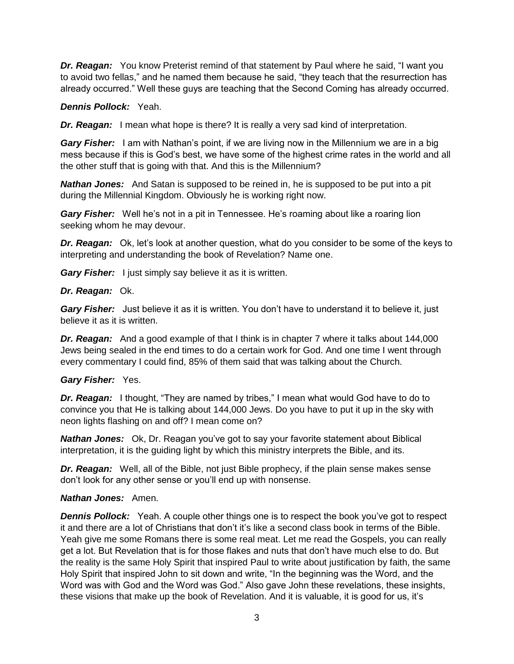*Dr. Reagan:* You know Preterist remind of that statement by Paul where he said, "I want you to avoid two fellas," and he named them because he said, "they teach that the resurrection has already occurred." Well these guys are teaching that the Second Coming has already occurred.

# *Dennis Pollock:* Yeah.

*Dr. Reagan:* I mean what hope is there? It is really a very sad kind of interpretation.

*Gary Fisher:* I am with Nathan's point, if we are living now in the Millennium we are in a big mess because if this is God's best, we have some of the highest crime rates in the world and all the other stuff that is going with that. And this is the Millennium?

*Nathan Jones:* And Satan is supposed to be reined in, he is supposed to be put into a pit during the Millennial Kingdom. Obviously he is working right now.

*Gary Fisher:* Well he's not in a pit in Tennessee. He's roaming about like a roaring lion seeking whom he may devour.

*Dr. Reagan:* Ok, let's look at another question, what do you consider to be some of the keys to interpreting and understanding the book of Revelation? Name one.

*Gary Fisher:* I just simply say believe it as it is written.

#### *Dr. Reagan:* Ok.

*Gary Fisher:* Just believe it as it is written. You don't have to understand it to believe it, just believe it as it is written.

*Dr. Reagan:* And a good example of that I think is in chapter 7 where it talks about 144,000 Jews being sealed in the end times to do a certain work for God. And one time I went through every commentary I could find, 85% of them said that was talking about the Church.

# *Gary Fisher:* Yes.

*Dr. Reagan:* I thought, "They are named by tribes," I mean what would God have to do to convince you that He is talking about 144,000 Jews. Do you have to put it up in the sky with neon lights flashing on and off? I mean come on?

*Nathan Jones:* Ok, Dr. Reagan you've got to say your favorite statement about Biblical interpretation, it is the guiding light by which this ministry interprets the Bible, and its.

*Dr. Reagan:* Well, all of the Bible, not just Bible prophecy, if the plain sense makes sense don't look for any other sense or you'll end up with nonsense.

# *Nathan Jones:* Amen.

**Dennis Pollock:** Yeah. A couple other things one is to respect the book you've got to respect it and there are a lot of Christians that don't it's like a second class book in terms of the Bible. Yeah give me some Romans there is some real meat. Let me read the Gospels, you can really get a lot. But Revelation that is for those flakes and nuts that don't have much else to do. But the reality is the same Holy Spirit that inspired Paul to write about justification by faith, the same Holy Spirit that inspired John to sit down and write, "In the beginning was the Word, and the Word was with God and the Word was God." Also gave John these revelations, these insights, these visions that make up the book of Revelation. And it is valuable, it is good for us, it's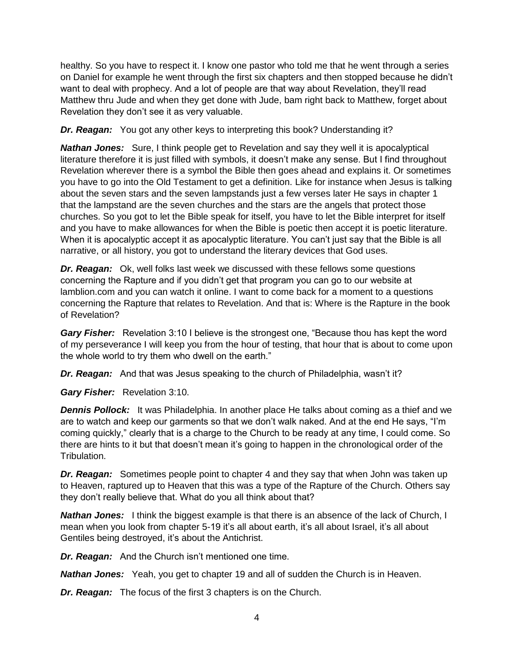healthy. So you have to respect it. I know one pastor who told me that he went through a series on Daniel for example he went through the first six chapters and then stopped because he didn't want to deal with prophecy. And a lot of people are that way about Revelation, they'll read Matthew thru Jude and when they get done with Jude, bam right back to Matthew, forget about Revelation they don't see it as very valuable.

*Dr. Reagan:* You got any other keys to interpreting this book? Understanding it?

*Nathan Jones:* Sure, I think people get to Revelation and say they well it is apocalyptical literature therefore it is just filled with symbols, it doesn't make any sense. But I find throughout Revelation wherever there is a symbol the Bible then goes ahead and explains it. Or sometimes you have to go into the Old Testament to get a definition. Like for instance when Jesus is talking about the seven stars and the seven lampstands just a few verses later He says in chapter 1 that the lampstand are the seven churches and the stars are the angels that protect those churches. So you got to let the Bible speak for itself, you have to let the Bible interpret for itself and you have to make allowances for when the Bible is poetic then accept it is poetic literature. When it is apocalyptic accept it as apocalyptic literature. You can't just say that the Bible is all narrative, or all history, you got to understand the literary devices that God uses.

*Dr. Reagan:* Ok, well folks last week we discussed with these fellows some questions concerning the Rapture and if you didn't get that program you can go to our website at lamblion.com and you can watch it online. I want to come back for a moment to a questions concerning the Rapture that relates to Revelation. And that is: Where is the Rapture in the book of Revelation?

*Gary Fisher:* Revelation 3:10 I believe is the strongest one, "Because thou has kept the word of my perseverance I will keep you from the hour of testing, that hour that is about to come upon the whole world to try them who dwell on the earth."

*Dr. Reagan:* And that was Jesus speaking to the church of Philadelphia, wasn't it?

*Gary Fisher:* Revelation 3:10.

**Dennis Pollock:** It was Philadelphia. In another place He talks about coming as a thief and we are to watch and keep our garments so that we don't walk naked. And at the end He says, "I'm coming quickly," clearly that is a charge to the Church to be ready at any time, I could come. So there are hints to it but that doesn't mean it's going to happen in the chronological order of the Tribulation.

*Dr. Reagan:* Sometimes people point to chapter 4 and they say that when John was taken up to Heaven, raptured up to Heaven that this was a type of the Rapture of the Church. Others say they don't really believe that. What do you all think about that?

*Nathan Jones:* I think the biggest example is that there is an absence of the lack of Church, I mean when you look from chapter 5-19 it's all about earth, it's all about Israel, it's all about Gentiles being destroyed, it's about the Antichrist.

*Dr. Reagan:* And the Church isn't mentioned one time.

*Nathan Jones:* Yeah, you get to chapter 19 and all of sudden the Church is in Heaven.

*Dr. Reagan:* The focus of the first 3 chapters is on the Church.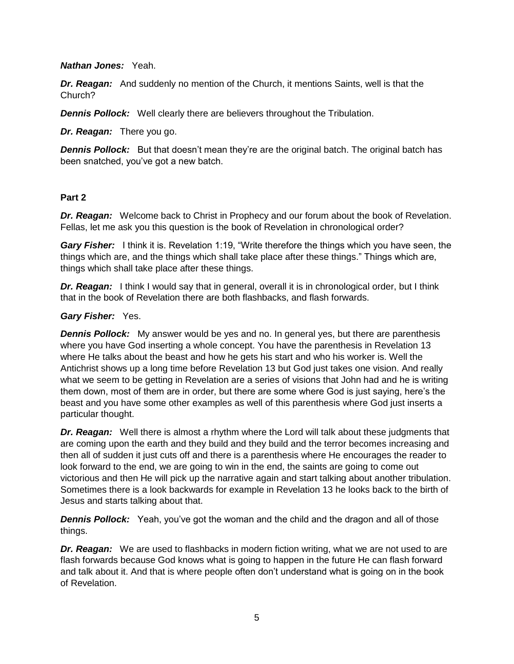*Nathan Jones:* Yeah.

*Dr. Reagan:* And suddenly no mention of the Church, it mentions Saints, well is that the Church?

**Dennis Pollock:** Well clearly there are believers throughout the Tribulation.

*Dr. Reagan:* There you go.

**Dennis Pollock:** But that doesn't mean they're are the original batch. The original batch has been snatched, you've got a new batch.

# **Part 2**

*Dr. Reagan:* Welcome back to Christ in Prophecy and our forum about the book of Revelation. Fellas, let me ask you this question is the book of Revelation in chronological order?

*Gary Fisher:* I think it is. Revelation 1:19, "Write therefore the things which you have seen, the things which are, and the things which shall take place after these things." Things which are, things which shall take place after these things.

*Dr. Reagan:* I think I would say that in general, overall it is in chronological order, but I think that in the book of Revelation there are both flashbacks, and flash forwards.

# *Gary Fisher:* Yes.

*Dennis Pollock:* My answer would be yes and no. In general yes, but there are parenthesis where you have God inserting a whole concept. You have the parenthesis in Revelation 13 where He talks about the beast and how he gets his start and who his worker is. Well the Antichrist shows up a long time before Revelation 13 but God just takes one vision. And really what we seem to be getting in Revelation are a series of visions that John had and he is writing them down, most of them are in order, but there are some where God is just saying, here's the beast and you have some other examples as well of this parenthesis where God just inserts a particular thought.

*Dr. Reagan:* Well there is almost a rhythm where the Lord will talk about these judgments that are coming upon the earth and they build and they build and the terror becomes increasing and then all of sudden it just cuts off and there is a parenthesis where He encourages the reader to look forward to the end, we are going to win in the end, the saints are going to come out victorious and then He will pick up the narrative again and start talking about another tribulation. Sometimes there is a look backwards for example in Revelation 13 he looks back to the birth of Jesus and starts talking about that.

*Dennis Pollock:* Yeah, you've got the woman and the child and the dragon and all of those things.

**Dr. Reagan:** We are used to flashbacks in modern fiction writing, what we are not used to are flash forwards because God knows what is going to happen in the future He can flash forward and talk about it. And that is where people often don't understand what is going on in the book of Revelation.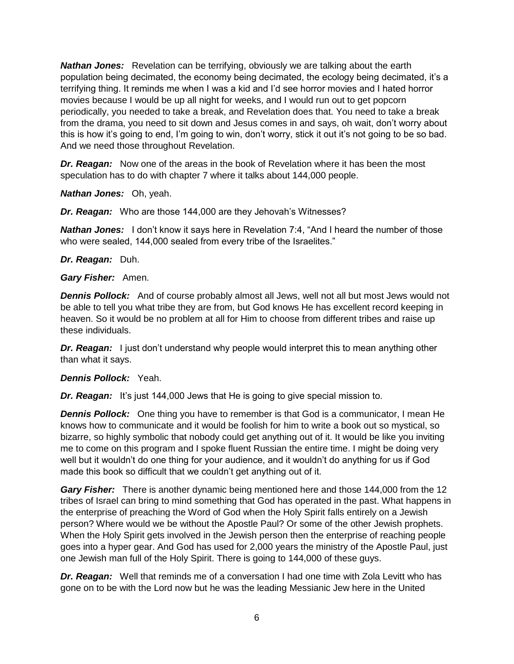*Nathan Jones:* Revelation can be terrifying, obviously we are talking about the earth population being decimated, the economy being decimated, the ecology being decimated, it's a terrifying thing. It reminds me when I was a kid and I'd see horror movies and I hated horror movies because I would be up all night for weeks, and I would run out to get popcorn periodically, you needed to take a break, and Revelation does that. You need to take a break from the drama, you need to sit down and Jesus comes in and says, oh wait, don't worry about this is how it's going to end, I'm going to win, don't worry, stick it out it's not going to be so bad. And we need those throughout Revelation.

*Dr. Reagan:* Now one of the areas in the book of Revelation where it has been the most speculation has to do with chapter 7 where it talks about 144,000 people.

*Nathan Jones:* Oh, yeah.

*Dr. Reagan:* Who are those 144,000 are they Jehovah's Witnesses?

**Nathan Jones:** I don't know it says here in Revelation 7:4, "And I heard the number of those who were sealed, 144,000 sealed from every tribe of the Israelites."

*Dr. Reagan:* Duh.

*Gary Fisher:* Amen.

*Dennis Pollock:* And of course probably almost all Jews, well not all but most Jews would not be able to tell you what tribe they are from, but God knows He has excellent record keeping in heaven. So it would be no problem at all for Him to choose from different tribes and raise up these individuals.

**Dr. Reagan:** I just don't understand why people would interpret this to mean anything other than what it says.

# *Dennis Pollock:* Yeah.

*Dr. Reagan:* It's just 144,000 Jews that He is going to give special mission to.

**Dennis Pollock:** One thing you have to remember is that God is a communicator, I mean He knows how to communicate and it would be foolish for him to write a book out so mystical, so bizarre, so highly symbolic that nobody could get anything out of it. It would be like you inviting me to come on this program and I spoke fluent Russian the entire time. I might be doing very well but it wouldn't do one thing for your audience, and it wouldn't do anything for us if God made this book so difficult that we couldn't get anything out of it.

*Gary Fisher:* There is another dynamic being mentioned here and those 144,000 from the 12 tribes of Israel can bring to mind something that God has operated in the past. What happens in the enterprise of preaching the Word of God when the Holy Spirit falls entirely on a Jewish person? Where would we be without the Apostle Paul? Or some of the other Jewish prophets. When the Holy Spirit gets involved in the Jewish person then the enterprise of reaching people goes into a hyper gear. And God has used for 2,000 years the ministry of the Apostle Paul, just one Jewish man full of the Holy Spirit. There is going to 144,000 of these guys.

*Dr. Reagan:* Well that reminds me of a conversation I had one time with Zola Levitt who has gone on to be with the Lord now but he was the leading Messianic Jew here in the United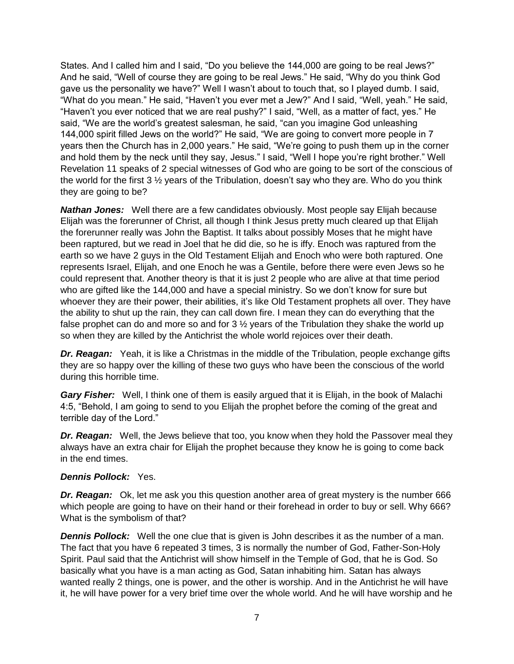States. And I called him and I said, "Do you believe the 144,000 are going to be real Jews?" And he said, "Well of course they are going to be real Jews." He said, "Why do you think God gave us the personality we have?" Well I wasn't about to touch that, so I played dumb. I said, "What do you mean." He said, "Haven't you ever met a Jew?" And I said, "Well, yeah." He said, "Haven't you ever noticed that we are real pushy?" I said, "Well, as a matter of fact, yes." He said, "We are the world's greatest salesman, he said, "can you imagine God unleashing 144,000 spirit filled Jews on the world?" He said, "We are going to convert more people in 7 years then the Church has in 2,000 years." He said, "We're going to push them up in the corner and hold them by the neck until they say, Jesus." I said, "Well I hope you're right brother." Well Revelation 11 speaks of 2 special witnesses of God who are going to be sort of the conscious of the world for the first 3 ½ years of the Tribulation, doesn't say who they are. Who do you think they are going to be?

*Nathan Jones:* Well there are a few candidates obviously. Most people say Elijah because Elijah was the forerunner of Christ, all though I think Jesus pretty much cleared up that Elijah the forerunner really was John the Baptist. It talks about possibly Moses that he might have been raptured, but we read in Joel that he did die, so he is iffy. Enoch was raptured from the earth so we have 2 guys in the Old Testament Elijah and Enoch who were both raptured. One represents Israel, Elijah, and one Enoch he was a Gentile, before there were even Jews so he could represent that. Another theory is that it is just 2 people who are alive at that time period who are gifted like the 144,000 and have a special ministry. So we don't know for sure but whoever they are their power, their abilities, it's like Old Testament prophets all over. They have the ability to shut up the rain, they can call down fire. I mean they can do everything that the false prophet can do and more so and for  $3\frac{1}{2}$  years of the Tribulation they shake the world up so when they are killed by the Antichrist the whole world rejoices over their death.

*Dr. Reagan:* Yeah, it is like a Christmas in the middle of the Tribulation, people exchange gifts they are so happy over the killing of these two guys who have been the conscious of the world during this horrible time.

*Gary Fisher:* Well, I think one of them is easily argued that it is Elijah, in the book of Malachi 4:5, "Behold, I am going to send to you Elijah the prophet before the coming of the great and terrible day of the Lord."

*Dr. Reagan:* Well, the Jews believe that too, you know when they hold the Passover meal they always have an extra chair for Elijah the prophet because they know he is going to come back in the end times.

# *Dennis Pollock:* Yes.

*Dr. Reagan:* Ok, let me ask you this question another area of great mystery is the number 666 which people are going to have on their hand or their forehead in order to buy or sell. Why 666? What is the symbolism of that?

**Dennis Pollock:** Well the one clue that is given is John describes it as the number of a man. The fact that you have 6 repeated 3 times, 3 is normally the number of God, Father-Son-Holy Spirit. Paul said that the Antichrist will show himself in the Temple of God, that he is God. So basically what you have is a man acting as God, Satan inhabiting him. Satan has always wanted really 2 things, one is power, and the other is worship. And in the Antichrist he will have it, he will have power for a very brief time over the whole world. And he will have worship and he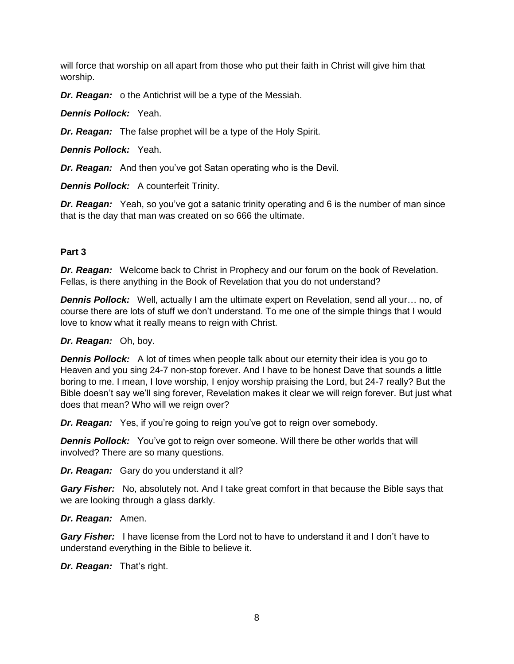will force that worship on all apart from those who put their faith in Christ will give him that worship.

*Dr. Reagan:* o the Antichrist will be a type of the Messiah.

*Dennis Pollock:* Yeah.

*Dr. Reagan:* The false prophet will be a type of the Holy Spirit.

*Dennis Pollock:* Yeah.

*Dr. Reagan:* And then you've got Satan operating who is the Devil.

*Dennis Pollock:* A counterfeit Trinity.

*Dr. Reagan:* Yeah, so you've got a satanic trinity operating and 6 is the number of man since that is the day that man was created on so 666 the ultimate.

#### **Part 3**

*Dr. Reagan:* Welcome back to Christ in Prophecy and our forum on the book of Revelation. Fellas, is there anything in the Book of Revelation that you do not understand?

**Dennis Pollock:** Well, actually I am the ultimate expert on Revelation, send all your... no, of course there are lots of stuff we don't understand. To me one of the simple things that I would love to know what it really means to reign with Christ.

#### *Dr. Reagan:* Oh, boy.

**Dennis Pollock:** A lot of times when people talk about our eternity their idea is you go to Heaven and you sing 24-7 non-stop forever. And I have to be honest Dave that sounds a little boring to me. I mean, I love worship, I enjoy worship praising the Lord, but 24-7 really? But the Bible doesn't say we'll sing forever, Revelation makes it clear we will reign forever. But just what does that mean? Who will we reign over?

*Dr. Reagan:* Yes, if you're going to reign you've got to reign over somebody.

*Dennis Pollock:* You've got to reign over someone. Will there be other worlds that will involved? There are so many questions.

*Dr. Reagan:* Gary do you understand it all?

*Gary Fisher:* No, absolutely not. And I take great comfort in that because the Bible says that we are looking through a glass darkly.

# *Dr. Reagan:* Amen.

*Gary Fisher:* I have license from the Lord not to have to understand it and I don't have to understand everything in the Bible to believe it.

*Dr. Reagan:* That's right.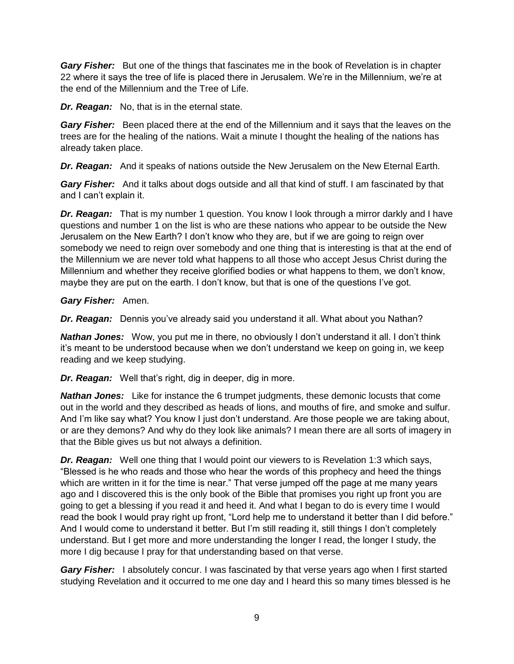*Gary Fisher:* But one of the things that fascinates me in the book of Revelation is in chapter 22 where it says the tree of life is placed there in Jerusalem. We're in the Millennium, we're at the end of the Millennium and the Tree of Life.

*Dr. Reagan:* No, that is in the eternal state.

*Gary Fisher:* Been placed there at the end of the Millennium and it says that the leaves on the trees are for the healing of the nations. Wait a minute I thought the healing of the nations has already taken place.

*Dr. Reagan:* And it speaks of nations outside the New Jerusalem on the New Eternal Earth.

*Gary Fisher:* And it talks about dogs outside and all that kind of stuff. I am fascinated by that and I can't explain it.

*Dr. Reagan:* That is my number 1 question. You know I look through a mirror darkly and I have questions and number 1 on the list is who are these nations who appear to be outside the New Jerusalem on the New Earth? I don't know who they are, but if we are going to reign over somebody we need to reign over somebody and one thing that is interesting is that at the end of the Millennium we are never told what happens to all those who accept Jesus Christ during the Millennium and whether they receive glorified bodies or what happens to them, we don't know, maybe they are put on the earth. I don't know, but that is one of the questions I've got.

# *Gary Fisher:* Amen.

*Dr. Reagan:* Dennis you've already said you understand it all. What about you Nathan?

*Nathan Jones:* Wow, you put me in there, no obviously I don't understand it all. I don't think it's meant to be understood because when we don't understand we keep on going in, we keep reading and we keep studying.

*Dr. Reagan:* Well that's right, dig in deeper, dig in more.

*Nathan Jones:* Like for instance the 6 trumpet judgments, these demonic locusts that come out in the world and they described as heads of lions, and mouths of fire, and smoke and sulfur. And I'm like say what? You know I just don't understand. Are those people we are taking about, or are they demons? And why do they look like animals? I mean there are all sorts of imagery in that the Bible gives us but not always a definition.

*Dr. Reagan:* Well one thing that I would point our viewers to is Revelation 1:3 which says, "Blessed is he who reads and those who hear the words of this prophecy and heed the things which are written in it for the time is near." That verse jumped off the page at me many years ago and I discovered this is the only book of the Bible that promises you right up front you are going to get a blessing if you read it and heed it. And what I began to do is every time I would read the book I would pray right up front, "Lord help me to understand it better than I did before." And I would come to understand it better. But I'm still reading it, still things I don't completely understand. But I get more and more understanding the longer I read, the longer I study, the more I dig because I pray for that understanding based on that verse.

*Gary Fisher:* I absolutely concur. I was fascinated by that verse years ago when I first started studying Revelation and it occurred to me one day and I heard this so many times blessed is he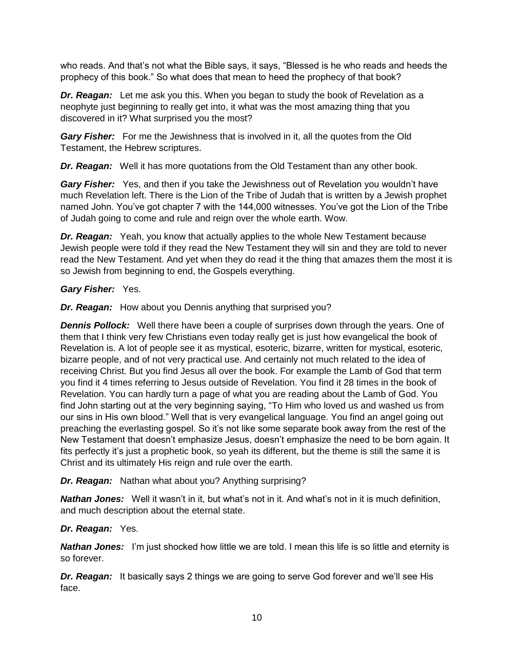who reads. And that's not what the Bible says, it says, "Blessed is he who reads and heeds the prophecy of this book." So what does that mean to heed the prophecy of that book?

*Dr. Reagan:* Let me ask you this. When you began to study the book of Revelation as a neophyte just beginning to really get into, it what was the most amazing thing that you discovered in it? What surprised you the most?

*Gary Fisher:* For me the Jewishness that is involved in it, all the quotes from the Old Testament, the Hebrew scriptures.

*Dr. Reagan:* Well it has more quotations from the Old Testament than any other book.

*Gary Fisher:* Yes, and then if you take the Jewishness out of Revelation you wouldn't have much Revelation left. There is the Lion of the Tribe of Judah that is written by a Jewish prophet named John. You've got chapter 7 with the 144,000 witnesses. You've got the Lion of the Tribe of Judah going to come and rule and reign over the whole earth. Wow.

*Dr. Reagan:* Yeah, you know that actually applies to the whole New Testament because Jewish people were told if they read the New Testament they will sin and they are told to never read the New Testament. And yet when they do read it the thing that amazes them the most it is so Jewish from beginning to end, the Gospels everything.

# *Gary Fisher:* Yes.

*Dr. Reagan:* How about you Dennis anything that surprised you?

*Dennis Pollock:* Well there have been a couple of surprises down through the years. One of them that I think very few Christians even today really get is just how evangelical the book of Revelation is. A lot of people see it as mystical, esoteric, bizarre, written for mystical, esoteric, bizarre people, and of not very practical use. And certainly not much related to the idea of receiving Christ. But you find Jesus all over the book. For example the Lamb of God that term you find it 4 times referring to Jesus outside of Revelation. You find it 28 times in the book of Revelation. You can hardly turn a page of what you are reading about the Lamb of God. You find John starting out at the very beginning saying, "To Him who loved us and washed us from our sins in His own blood." Well that is very evangelical language. You find an angel going out preaching the everlasting gospel. So it's not like some separate book away from the rest of the New Testament that doesn't emphasize Jesus, doesn't emphasize the need to be born again. It fits perfectly it's just a prophetic book, so yeah its different, but the theme is still the same it is Christ and its ultimately His reign and rule over the earth.

# *Dr. Reagan:* Nathan what about you? Anything surprising?

*Nathan Jones:* Well it wasn't in it, but what's not in it. And what's not in it is much definition, and much description about the eternal state.

# *Dr. Reagan:* Yes.

*Nathan Jones:* I'm just shocked how little we are told. I mean this life is so little and eternity is so forever.

**Dr. Reagan:** It basically says 2 things we are going to serve God forever and we'll see His face.